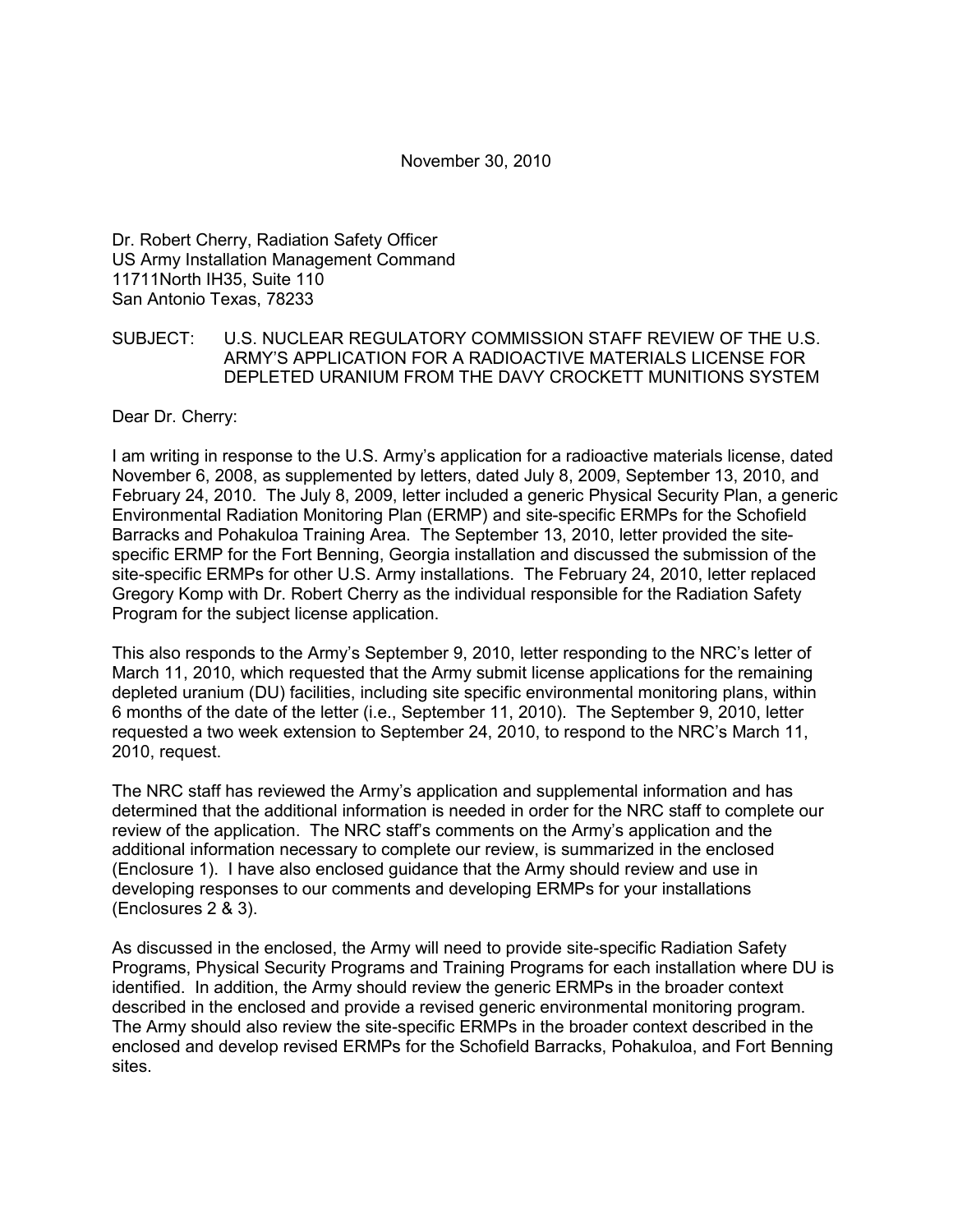November 30, 2010

Dr. Robert Cherry, Radiation Safety Officer US Army Installation Management Command 11711North IH35, Suite 110 San Antonio Texas, 78233

#### SUBJECT: U.S. NUCLEAR REGULATORY COMMISSION STAFF REVIEW OF THE U.S. ARMY'S APPLICATION FOR A RADIOACTIVE MATERIALS LICENSE FOR DEPLETED URANIUM FROM THE DAVY CROCKETT MUNITIONS SYSTEM

Dear Dr. Cherry:

I am writing in response to the U.S. Army's application for a radioactive materials license, dated November 6, 2008, as supplemented by letters, dated July 8, 2009, September 13, 2010, and February 24, 2010. The July 8, 2009, letter included a generic Physical Security Plan, a generic Environmental Radiation Monitoring Plan (ERMP) and site-specific ERMPs for the Schofield Barracks and Pohakuloa Training Area. The September 13, 2010, letter provided the sitespecific ERMP for the Fort Benning, Georgia installation and discussed the submission of the site-specific ERMPs for other U.S. Army installations. The February 24, 2010, letter replaced Gregory Komp with Dr. Robert Cherry as the individual responsible for the Radiation Safety Program for the subject license application.

This also responds to the Army's September 9, 2010, letter responding to the NRC's letter of March 11, 2010, which requested that the Army submit license applications for the remaining depleted uranium (DU) facilities, including site specific environmental monitoring plans, within 6 months of the date of the letter (i.e., September 11, 2010). The September 9, 2010, letter requested a two week extension to September 24, 2010, to respond to the NRC's March 11, 2010, request.

The NRC staff has reviewed the Army's application and supplemental information and has determined that the additional information is needed in order for the NRC staff to complete our review of the application. The NRC staff's comments on the Army's application and the additional information necessary to complete our review, is summarized in the enclosed (Enclosure 1). I have also enclosed guidance that the Army should review and use in developing responses to our comments and developing ERMPs for your installations (Enclosures 2 & 3).

As discussed in the enclosed, the Army will need to provide site-specific Radiation Safety Programs, Physical Security Programs and Training Programs for each installation where DU is identified. In addition, the Army should review the generic ERMPs in the broader context described in the enclosed and provide a revised generic environmental monitoring program. The Army should also review the site-specific ERMPs in the broader context described in the enclosed and develop revised ERMPs for the Schofield Barracks, Pohakuloa, and Fort Benning sites.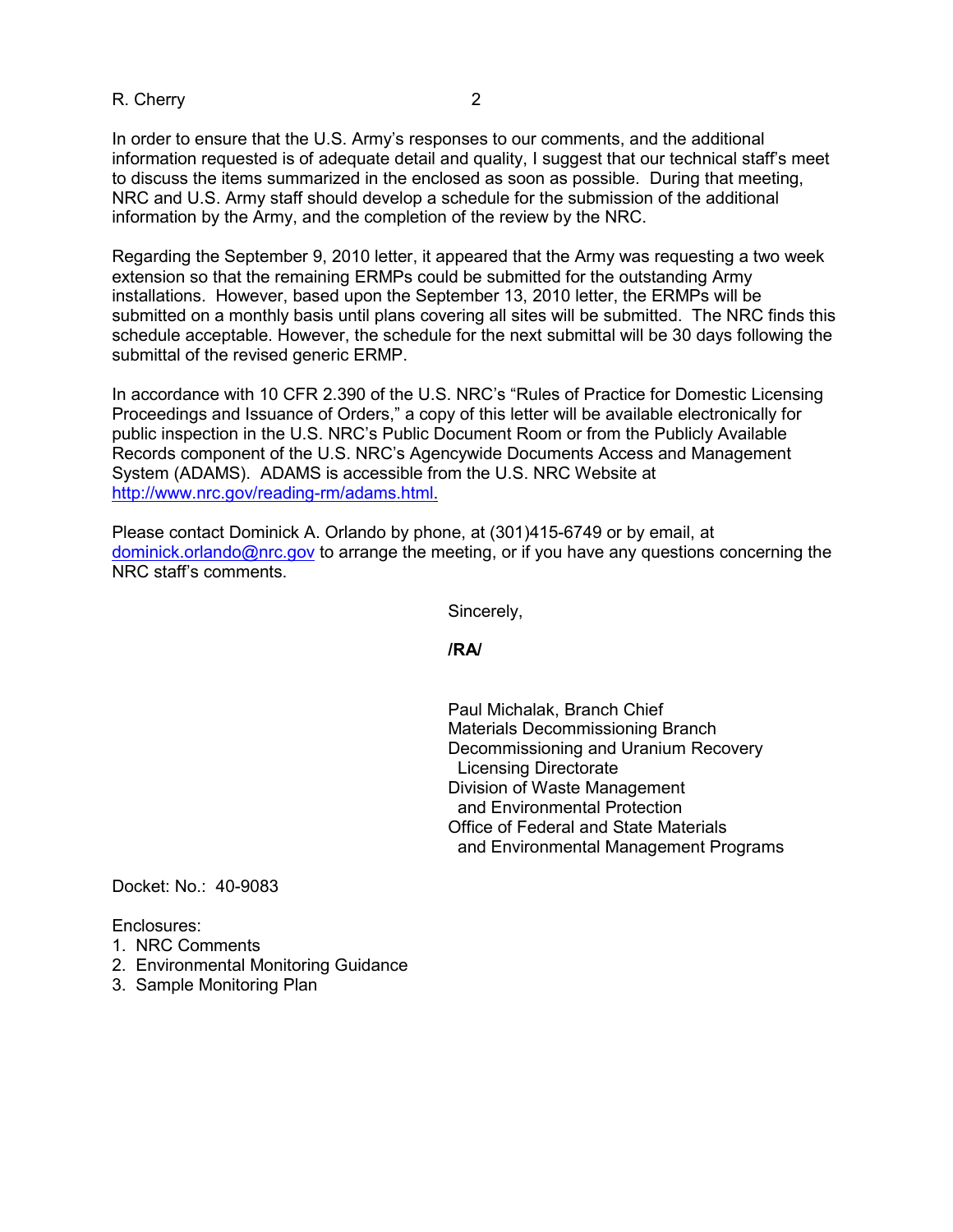R. Cherry 2

In order to ensure that the U.S. Army's responses to our comments, and the additional information requested is of adequate detail and quality, I suggest that our technical staff's meet to discuss the items summarized in the enclosed as soon as possible. During that meeting, NRC and U.S. Army staff should develop a schedule for the submission of the additional information by the Army, and the completion of the review by the NRC.

Regarding the September 9, 2010 letter, it appeared that the Army was requesting a two week extension so that the remaining ERMPs could be submitted for the outstanding Army installations. However, based upon the September 13, 2010 letter, the ERMPs will be submitted on a monthly basis until plans covering all sites will be submitted. The NRC finds this schedule acceptable. However, the schedule for the next submittal will be 30 days following the submittal of the revised generic ERMP.

In accordance with 10 CFR 2.390 of the U.S. NRC's "Rules of Practice for Domestic Licensing Proceedings and Issuance of Orders," a copy of this letter will be available electronically for public inspection in the U.S. NRC's Public Document Room or from the Publicly Available Records component of the U.S. NRC's Agencywide Documents Access and Management System (ADAMS). ADAMS is accessible from the U.S. NRC Website at http://www.nrc.gov/reading-rm/adams.html.

Please contact Dominick A. Orlando by phone, at (301)415-6749 or by email, at dominick.orlando@nrc.gov to arrange the meeting, or if you have any questions concerning the NRC staff's comments.

Sincerely,

**/RA/** 

 Paul Michalak, Branch Chief Materials Decommissioning Branch Decommissioning and Uranium Recovery Licensing Directorate Division of Waste Management and Environmental Protection Office of Federal and State Materials and Environmental Management Programs

Docket: No.: 40-9083

Enclosures:

- 1. NRC Comments
- 2. Environmental Monitoring Guidance
- 3. Sample Monitoring Plan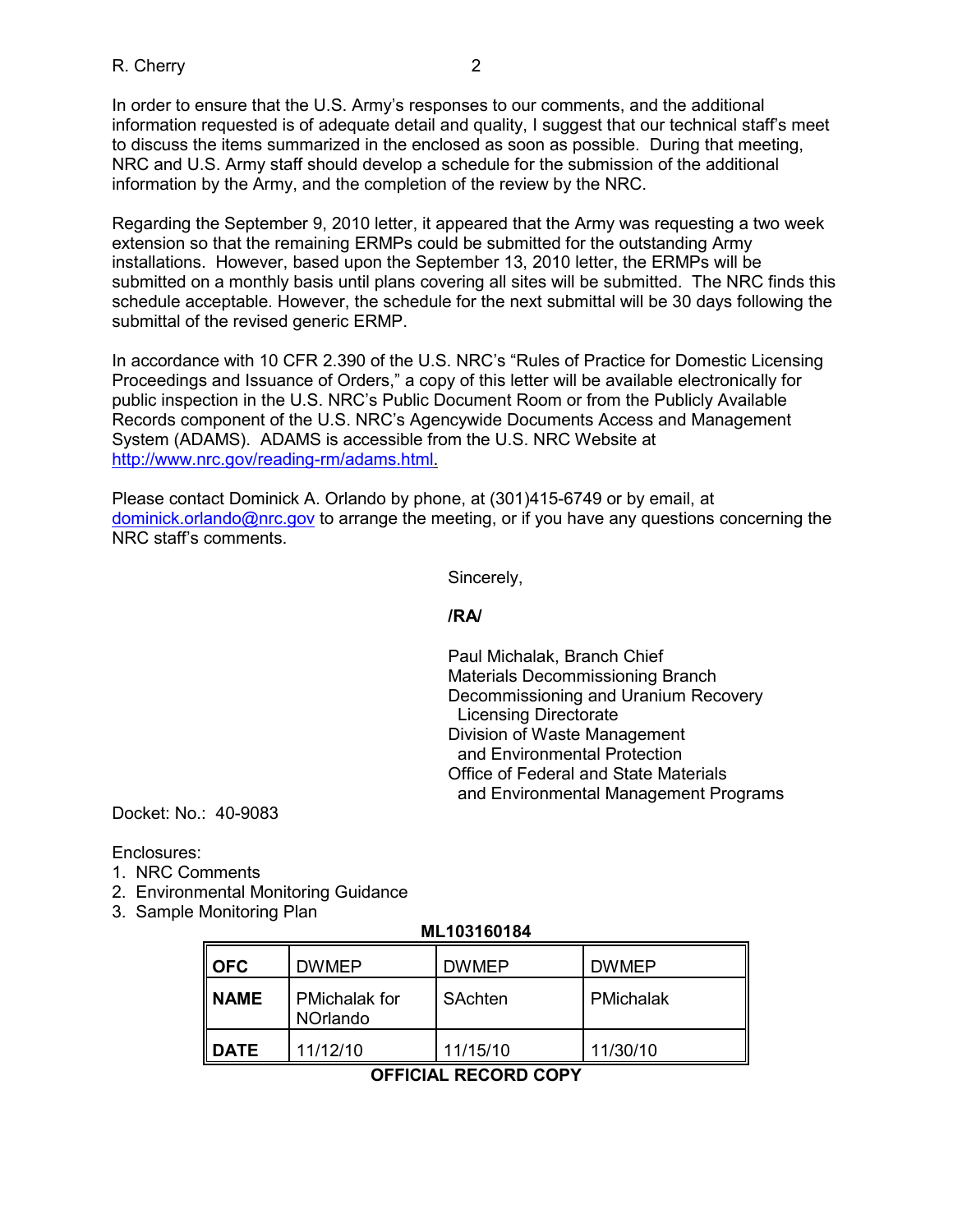In order to ensure that the U.S. Army's responses to our comments, and the additional information requested is of adequate detail and quality, I suggest that our technical staff's meet to discuss the items summarized in the enclosed as soon as possible. During that meeting, NRC and U.S. Army staff should develop a schedule for the submission of the additional information by the Army, and the completion of the review by the NRC.

Regarding the September 9, 2010 letter, it appeared that the Army was requesting a two week extension so that the remaining ERMPs could be submitted for the outstanding Army installations. However, based upon the September 13, 2010 letter, the ERMPs will be submitted on a monthly basis until plans covering all sites will be submitted. The NRC finds this schedule acceptable. However, the schedule for the next submittal will be 30 days following the submittal of the revised generic ERMP.

In accordance with 10 CFR 2.390 of the U.S. NRC's "Rules of Practice for Domestic Licensing Proceedings and Issuance of Orders," a copy of this letter will be available electronically for public inspection in the U.S. NRC's Public Document Room or from the Publicly Available Records component of the U.S. NRC's Agencywide Documents Access and Management System (ADAMS). ADAMS is accessible from the U.S. NRC Website at http://www.nrc.gov/reading-rm/adams.html.

Please contact Dominick A. Orlando by phone, at (301)415-6749 or by email, at dominick.orlando@nrc.gov to arrange the meeting, or if you have any questions concerning the NRC staff's comments.

Sincerely,

### **/RA/**

 Paul Michalak, Branch Chief Materials Decommissioning Branch Decommissioning and Uranium Recovery Licensing Directorate Division of Waste Management and Environmental Protection Office of Federal and State Materials and Environmental Management Programs

Docket: No.: 40-9083

Enclosures:

- 1. NRC Comments
- 2. Environmental Monitoring Guidance
- 3. Sample Monitoring Plan

# **ML103160184**

| <b>I</b> OFC   | <b>DWMEP</b>                            | <b>DWMEP</b> | <b>DWMEP</b> |
|----------------|-----------------------------------------|--------------|--------------|
| II NAME        | <b>PMichalak for</b><br><b>NOrlando</b> | SAchten      | PMichalak    |
| <b>II DATE</b> | 11/12/10                                | 11/15/10     | 11/30/10     |

# **OFFICIAL RECORD COPY**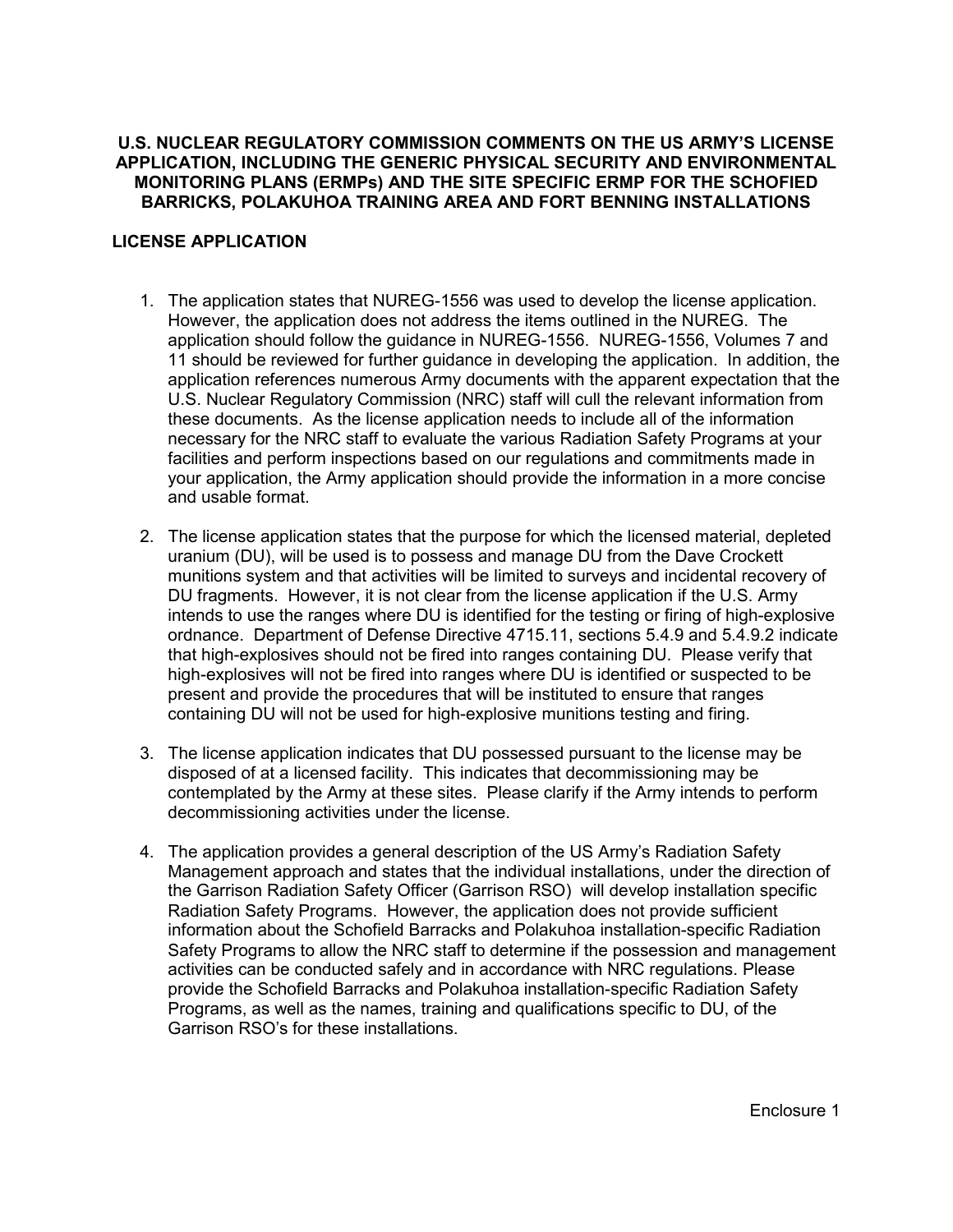### **U.S. NUCLEAR REGULATORY COMMISSION COMMENTS ON THE US ARMY'S LICENSE APPLICATION, INCLUDING THE GENERIC PHYSICAL SECURITY AND ENVIRONMENTAL MONITORING PLANS (ERMPs) AND THE SITE SPECIFIC ERMP FOR THE SCHOFIED BARRICKS, POLAKUHOA TRAINING AREA AND FORT BENNING INSTALLATIONS**

# **LICENSE APPLICATION**

- 1. The application states that NUREG-1556 was used to develop the license application. However, the application does not address the items outlined in the NUREG. The application should follow the guidance in NUREG-1556. NUREG-1556, Volumes 7 and 11 should be reviewed for further guidance in developing the application. In addition, the application references numerous Army documents with the apparent expectation that the U.S. Nuclear Regulatory Commission (NRC) staff will cull the relevant information from these documents. As the license application needs to include all of the information necessary for the NRC staff to evaluate the various Radiation Safety Programs at your facilities and perform inspections based on our regulations and commitments made in your application, the Army application should provide the information in a more concise and usable format.
- 2. The license application states that the purpose for which the licensed material, depleted uranium (DU), will be used is to possess and manage DU from the Dave Crockett munitions system and that activities will be limited to surveys and incidental recovery of DU fragments. However, it is not clear from the license application if the U.S. Army intends to use the ranges where DU is identified for the testing or firing of high-explosive ordnance. Department of Defense Directive 4715.11, sections 5.4.9 and 5.4.9.2 indicate that high-explosives should not be fired into ranges containing DU. Please verify that high-explosives will not be fired into ranges where DU is identified or suspected to be present and provide the procedures that will be instituted to ensure that ranges containing DU will not be used for high-explosive munitions testing and firing.
- 3. The license application indicates that DU possessed pursuant to the license may be disposed of at a licensed facility. This indicates that decommissioning may be contemplated by the Army at these sites. Please clarify if the Army intends to perform decommissioning activities under the license.
- 4. The application provides a general description of the US Army's Radiation Safety Management approach and states that the individual installations, under the direction of the Garrison Radiation Safety Officer (Garrison RSO) will develop installation specific Radiation Safety Programs. However, the application does not provide sufficient information about the Schofield Barracks and Polakuhoa installation-specific Radiation Safety Programs to allow the NRC staff to determine if the possession and management activities can be conducted safely and in accordance with NRC regulations. Please provide the Schofield Barracks and Polakuhoa installation-specific Radiation Safety Programs, as well as the names, training and qualifications specific to DU, of the Garrison RSO's for these installations.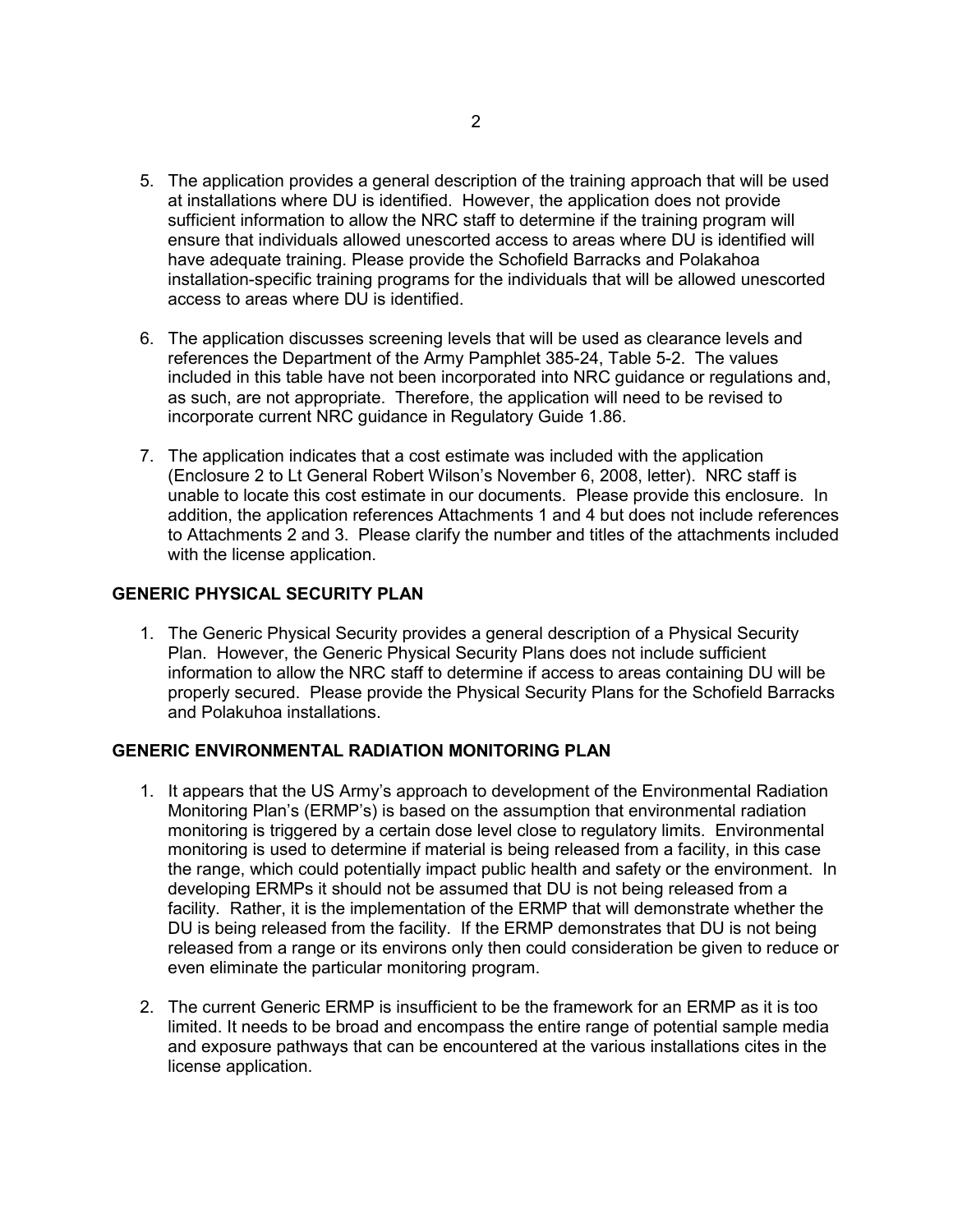- 5. The application provides a general description of the training approach that will be used at installations where DU is identified. However, the application does not provide sufficient information to allow the NRC staff to determine if the training program will ensure that individuals allowed unescorted access to areas where DU is identified will have adequate training. Please provide the Schofield Barracks and Polakahoa installation-specific training programs for the individuals that will be allowed unescorted access to areas where DU is identified.
- 6. The application discusses screening levels that will be used as clearance levels and references the Department of the Army Pamphlet 385-24, Table 5-2. The values included in this table have not been incorporated into NRC guidance or regulations and, as such, are not appropriate. Therefore, the application will need to be revised to incorporate current NRC guidance in Regulatory Guide 1.86.
- 7. The application indicates that a cost estimate was included with the application (Enclosure 2 to Lt General Robert Wilson's November 6, 2008, letter). NRC staff is unable to locate this cost estimate in our documents. Please provide this enclosure. In addition, the application references Attachments 1 and 4 but does not include references to Attachments 2 and 3. Please clarify the number and titles of the attachments included with the license application.

# **GENERIC PHYSICAL SECURITY PLAN**

1. The Generic Physical Security provides a general description of a Physical Security Plan. However, the Generic Physical Security Plans does not include sufficient information to allow the NRC staff to determine if access to areas containing DU will be properly secured. Please provide the Physical Security Plans for the Schofield Barracks and Polakuhoa installations.

#### **GENERIC ENVIRONMENTAL RADIATION MONITORING PLAN**

- 1. It appears that the US Army's approach to development of the Environmental Radiation Monitoring Plan's (ERMP's) is based on the assumption that environmental radiation monitoring is triggered by a certain dose level close to regulatory limits. Environmental monitoring is used to determine if material is being released from a facility, in this case the range, which could potentially impact public health and safety or the environment. In developing ERMPs it should not be assumed that DU is not being released from a facility. Rather, it is the implementation of the ERMP that will demonstrate whether the DU is being released from the facility. If the ERMP demonstrates that DU is not being released from a range or its environs only then could consideration be given to reduce or even eliminate the particular monitoring program.
- 2. The current Generic ERMP is insufficient to be the framework for an ERMP as it is too limited. It needs to be broad and encompass the entire range of potential sample media and exposure pathways that can be encountered at the various installations cites in the license application.